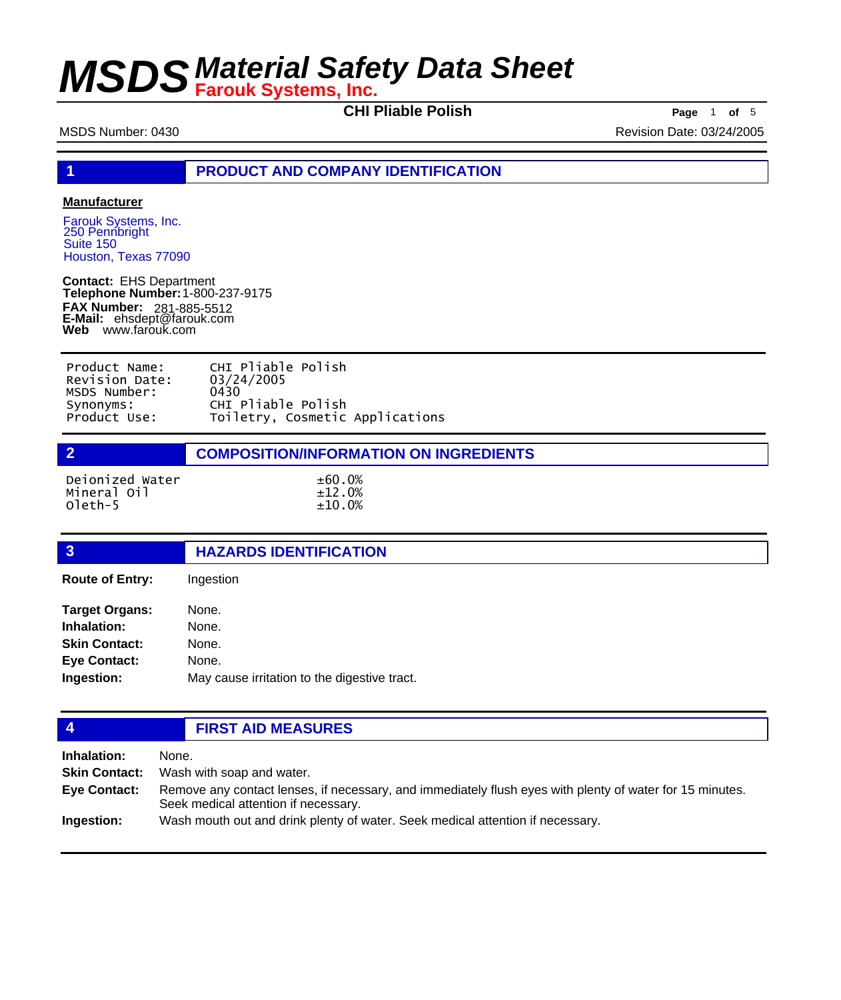**CHI Pliable Polish Page** <sup>1</sup> **of** <sup>5</sup>

MSDS Number: 0430 **Revision Date: 03/24/2005** Revision Date: 03/24/2005

**1 PRODUCT AND COMPANY IDENTIFICATION**

#### **Manufacturer**

Farouk Systems, Inc. 250 Pennbright Suite 150 Houston, Texas 77090

**Contact:** EHS Department **Telephone Number:** 1-800-237-9175 **FAX Number: FAX Number:** 281-885-5512<br>**E-Mail:** ehsdept@farouk.com **Web** www.farouk.com

| Product Name:  | CHI Pliable Polish              |
|----------------|---------------------------------|
| Revision Date: | 03/24/2005                      |
| MSDS Number:   | 0430                            |
| Synonyms:      | CHI Pliable Polish              |
| Product Use:   | Toiletry, Cosmetic Applications |

| $\overline{2}$                            | <b>COMPOSITION/INFORMATION ON INGREDIENTS</b> |  |
|-------------------------------------------|-----------------------------------------------|--|
| Deionized Water<br>Mineral Oil<br>oleth-5 | $\pm 60.0\%$<br>±12.0%<br>±10.0%              |  |

### **3 HAZARDS IDENTIFICATION Route of Entry:** Ingestion

| <b>Target Organs:</b> | None.                                        |
|-----------------------|----------------------------------------------|
| Inhalation:           | None.                                        |
| <b>Skin Contact:</b>  | None.                                        |
| <b>Eye Contact:</b>   | None.                                        |
| Ingestion:            | May cause irritation to the digestive tract. |

### **4 FIRST AID MEASURES**

**Inhalation:** None. **Skin Contact:** Wash with soap and water. Remove any contact lenses, if necessary, and immediately flush eyes with plenty of water for 15 minutes. Seek medical attention if necessary. **Eye Contact: Ingestion:** Wash mouth out and drink plenty of water. Seek medical attention if necessary.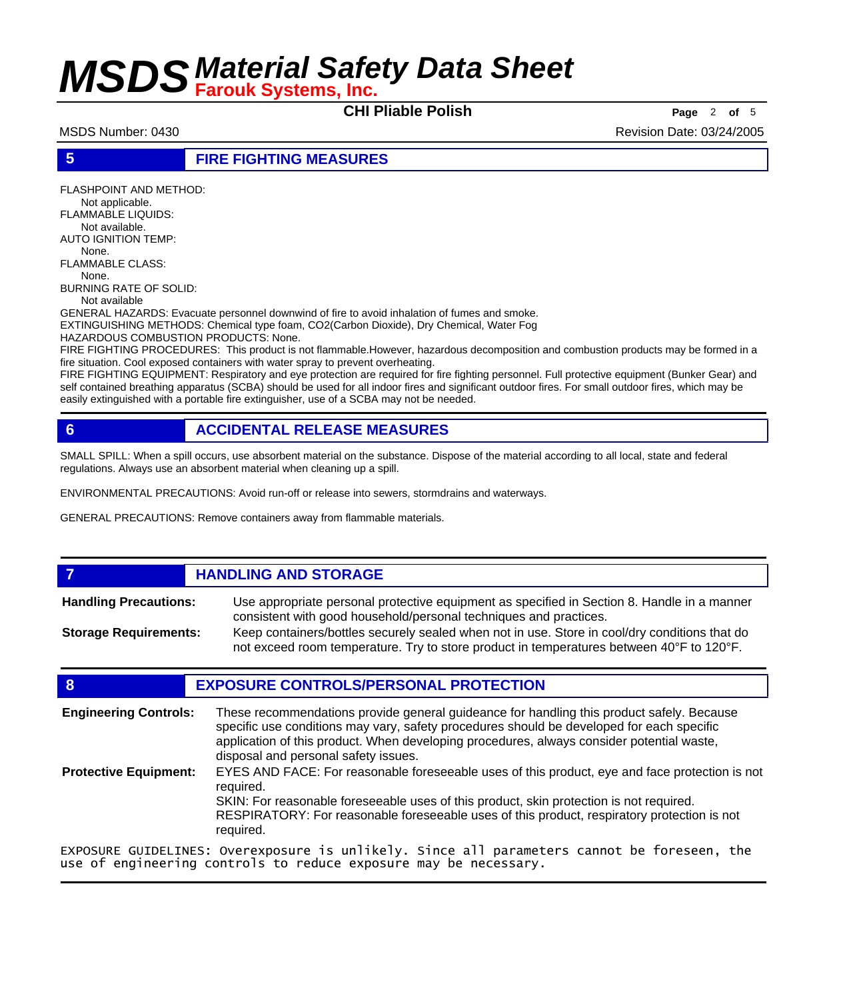**CHI Pliable Polish Page** <sup>2</sup> **of** <sup>5</sup>

MSDS Number: 0430 Revision Date: 03/24/2005

**5 FIRE FIGHTING MEASURES**

FLASHPOINT AND METHOD: Not applicable. FLAMMABLE LIQUIDS: Not available. AUTO IGNITION TEMP: None. FLAMMABLE CLASS: None. BURNING RATE OF SOLID: Not available GENERAL HAZARDS: Evacuate personnel downwind of fire to avoid inhalation of fumes and smoke. EXTINGUISHING METHODS: Chemical type foam, CO2(Carbon Dioxide), Dry Chemical, Water Fog HAZARDOUS COMBUSTION PRODUCTS: None.

FIRE FIGHTING PROCEDURES: This product is not flammable.However, hazardous decomposition and combustion products may be formed in a fire situation. Cool exposed containers with water spray to prevent overheating.

FIRE FIGHTING EQUIPMENT: Respiratory and eye protection are required for fire fighting personnel. Full protective equipment (Bunker Gear) and self contained breathing apparatus (SCBA) should be used for all indoor fires and significant outdoor fires. For small outdoor fires, which may be easily extinguished with a portable fire extinguisher, use of a SCBA may not be needed.

### **6 ACCIDENTAL RELEASE MEASURES**

SMALL SPILL: When a spill occurs, use absorbent material on the substance. Dispose of the material according to all local, state and federal regulations. Always use an absorbent material when cleaning up a spill.

ENVIRONMENTAL PRECAUTIONS: Avoid run-off or release into sewers, stormdrains and waterways.

GENERAL PRECAUTIONS: Remove containers away from flammable materials.

### *HANDLING AND STORAGE*

Use appropriate personal protective equipment as specified in Section 8. Handle in a manner consistent with good household/personal techniques and practices. **Handling Precautions:** Keep containers/bottles securely sealed when not in use. Store in cool/dry conditions that do **Storage Requirements:**

not exceed room temperature. Try to store product in temperatures between 40°F to 120°F.

#### **8 EXPOSURE CONTROLS/PERSONAL PROTECTION**

These recommendations provide general guideance for handling this product safely. Because specific use conditions may vary, safety procedures should be developed for each specific application of this product. When developing procedures, always consider potential waste, disposal and personal safety issues. **Engineering Controls:** EYES AND FACE: For reasonable foreseeable uses of this product, eye and face protection is not required. SKIN: For reasonable foreseeable uses of this product, skin protection is not required. RESPIRATORY: For reasonable foreseeable uses of this product, respiratory protection is not required. **Protective Equipment:** EXPOSURE GUIDELINES: Overexposure is unlikely. Since all parameters cannot be foreseen, the

use of engineering controls to reduce exposure may be necessary.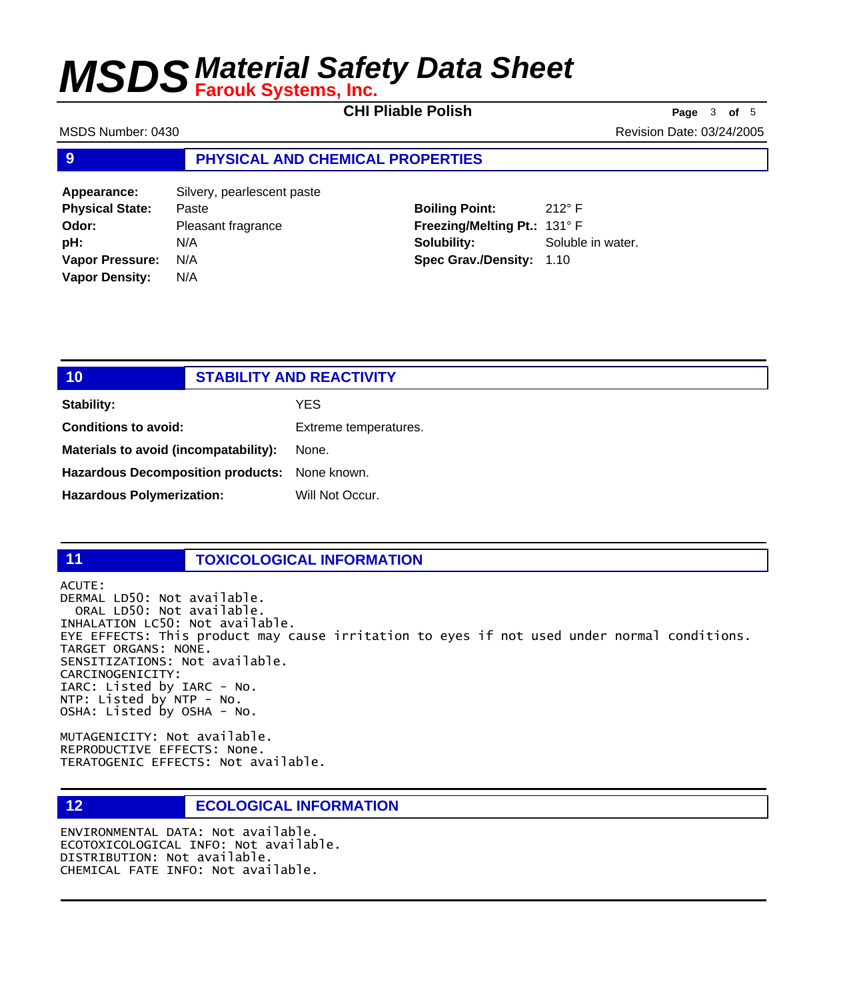**CHI Pliable Polish Page** <sup>3</sup> **of** <sup>5</sup>

MSDS Number: 0430 Revision Date: 03/24/2005

#### **9 PHYSICAL AND CHEMICAL PROPERTIES**

**Appearance:** Silvery, pearlescent paste **Physical State:** Paste **Odor:** Pleasant fragrance **pH:** N/A **Vapor Pressure:** N/A **Vapor Density:** N/A

**Boiling Point:** 212° F **Freezing/Melting Pt.:** 131° F **Solubility:** Soluble in water. **Spec Grav./Density:** 1.10

| 10                                            | <b>STABILITY AND REACTIVITY</b> |
|-----------------------------------------------|---------------------------------|
|                                               |                                 |
| <b>Stability:</b>                             | YES                             |
| <b>Conditions to avoid:</b>                   | Extreme temperatures.           |
| Materials to avoid (incompatability):         | None.                           |
| Hazardous Decomposition products: None known. |                                 |
| <b>Hazardous Polymerization:</b>              | Will Not Occur.                 |
|                                               |                                 |

#### **11 TOXICOLOGICAL INFORMATION**

ACUTE: DERMAL LD50: Not available. ORAL LD50: Not available. INHALATION LC50: Not available. EYE EFFECTS: This product may cause irritation to eyes if not used under normal conditions. TARGET ORGANS: NONE. SENSITIZATIONS: Not available. CARCINOGENICITY: IARC: Listed by IARC - No. NTP: Listed by NTP - No. OSHA: Listed by OSHA - No.

MUTAGENICITY: Not available. REPRODUCTIVE EFFECTS: None. TERATOGENIC EFFECTS: Not available.

#### **12 ECOLOGICAL INFORMATION**

ENVIRONMENTAL DATA: Not available. ECOTOXICOLOGICAL INFO: Not available. DISTRIBUTION: Not available. CHEMICAL FATE INFO: Not available.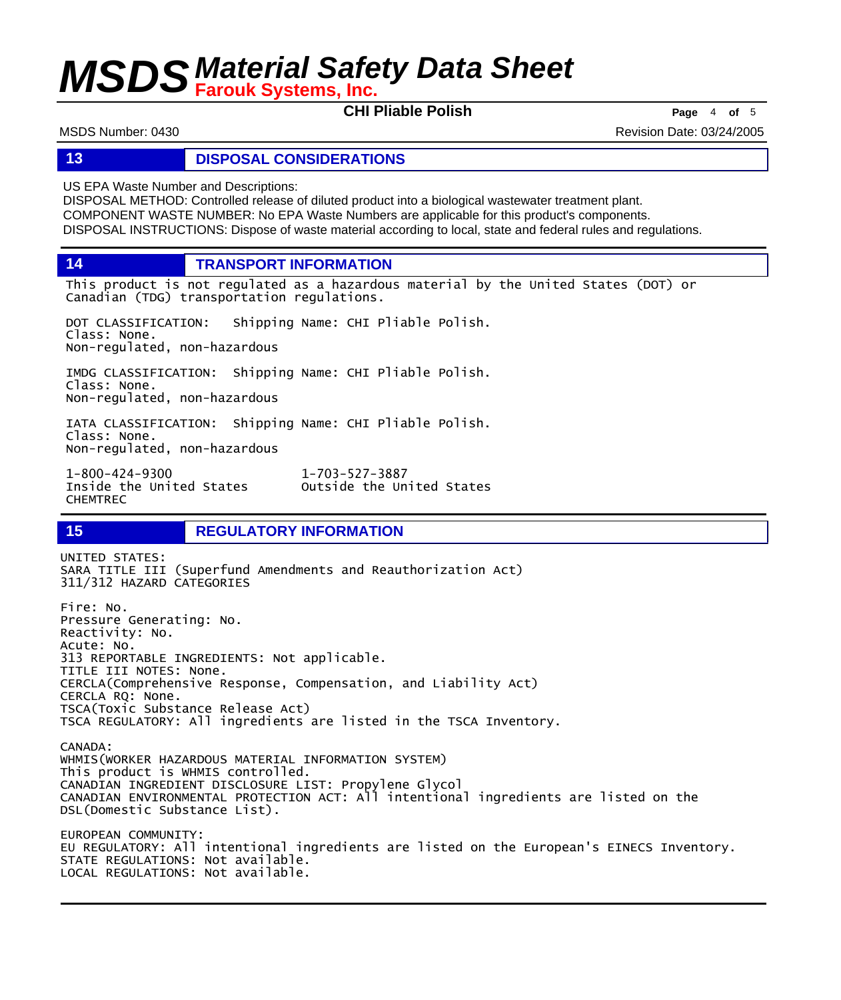**CHI Pliable Polish Page** <sup>4</sup> **of** <sup>5</sup>

MSDS Number: 0430 Revision Date: 03/24/2005

#### **13 DISPOSAL CONSIDERATIONS**

US EPA Waste Number and Descriptions:

DISPOSAL METHOD: Controlled release of diluted product into a biological wastewater treatment plant. COMPONENT WASTE NUMBER: No EPA Waste Numbers are applicable for this product's components. DISPOSAL INSTRUCTIONS: Dispose of waste material according to local, state and federal rules and regulations.

**14 TRANSPORT INFORMATION**

This product is not regulated as a hazardous material by the United States (DOT) or Canadian (TDG) transportation regulations.

Outside the United States

DOT CLASSIFICATION: Shipping Name: CHI Pliable Polish. Class: None. Non-regulated, non-hazardous

IMDG CLASSIFICATION: Shipping Name: CHI Pliable Polish. Class: None. Non-regulated, non-hazardous

IATA CLASSIFICATION: Shipping Name: CHI Pliable Polish. Class: None. Non-regulated, non-hazardous

1-800-424-9300 1-703-527-3887 CHEMTREC

#### **15 REGULATORY INFORMATION**

UNITED STATES: SARA TITLE III (Superfund Amendments and Reauthorization Act) 311/312 HAZARD CATEGORIES Fire: No. Pressure Generating: No. Reactivity: No. Acute: No. 313 REPORTABLE INGREDIENTS: Not applicable. TITLE III NOTES: None. CERCLA(Comprehensive Response, Compensation, and Liability Act) CERCLA RQ: None. TSCA(Toxic Substance Release Act) TSCA REGULATORY: All ingredients are listed in the TSCA Inventory. CANADA: WHMIS(WORKER HAZARDOUS MATERIAL INFORMATION SYSTEM) This product is WHMIS controlled. CANADIAN INGREDIENT DISCLOSURE LIST: Propylene Glycol CANADIAN ENVIRONMENTAL PROTECTION ACT: All intentional ingredients are listed on the DSL(Domestic Substance List). EUROPEAN COMMUNITY: EU REGULATORY: All intentional ingredients are listed on the European's EINECS Inventory. STATE REGULATIONS: Not available. LOCAL REGULATIONS: Not available.